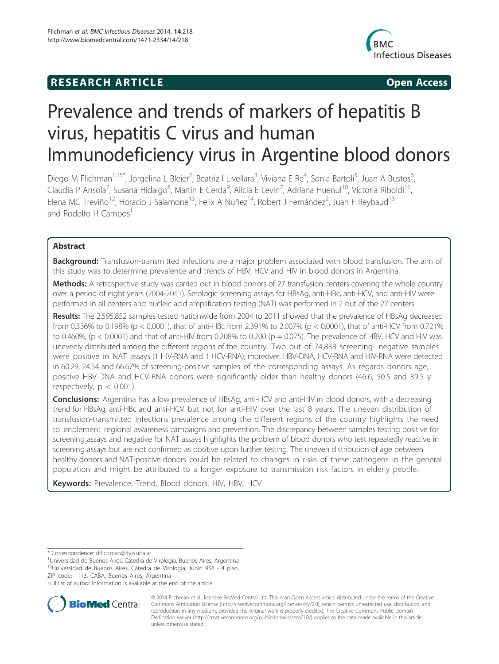# **RESEARCH ARTICLE Example 2014 12:30 The SEAR CHA RESEARCH ARTICLE**



# Prevalence and trends of markers of hepatitis B virus, hepatitis C virus and human Immunodeficiency virus in Argentine blood donors

Diego M Flichman<sup>1,15\*</sup>, Jorgelina L Blejer<sup>2</sup>, Beatriz I Livellara<sup>3</sup>, Viviana E Re<sup>4</sup>, Sonia Bartoli<sup>5</sup>, Juan A Bustos<sup>6</sup> , Claudia P Ansola<sup>7</sup>, Susana Hidalgo<sup>8</sup>, Martin E Cerda<sup>9</sup>, Alicia E Levin<sup>7</sup>, Adriana Huenul<sup>10</sup>, Victoria Riboldi<sup>11</sup>, Elena MC Treviño<sup>12</sup>, Horacio J Salamone<sup>13</sup>, Felix A Nuñez<sup>14</sup>, Robert J Fernández<sup>2</sup>, Juan F Reybaud<sup>13</sup> and Rodolfo H Campos $<sup>1</sup>$ </sup>

# Abstract

Background: Transfusion-transmitted infections are a major problem associated with blood transfusion. The aim of this study was to determine prevalence and trends of HBV, HCV and HIV in blood donors in Argentina.

Methods: A retrospective study was carried out in blood donors of 27 transfusion centers covering the whole country over a period of eight years (2004-2011). Serologic screening assays for HBsAg, anti-HBc, anti-HCV, and anti-HIV were performed in all centers and nucleic acid amplification testing (NAT) was performed in 2 out of the 27 centers.

Results: The 2,595,852 samples tested nationwide from 2004 to 2011 showed that the prevalence of HBsAg decreased from 0.336% to 0.198% (p < 0.0001), that of anti-HBc from 2.391% to 2.007% (p < 0.0001), that of anti-HCV from 0.721% to 0.460%, (p < 0.0001) and that of anti-HIV from 0.208% to 0.200 (p = 0.075). The prevalence of HBV, HCV and HIV was unevenly distributed among the different regions of the country. Two out of 74,838 screening- negative samples were positive in NAT assays (1 HIV-RNA and 1 HCV-RNA); moreover, HBV-DNA, HCV-RNA and HIV-RNA were detected in 60.29, 24.54 and 66.67% of screening-positive samples of the corresponding assays. As regards donors age, positive HBV-DNA and HCV-RNA donors were significantly older than healthy donors (46.6, 50.5 and 39.5 y respectively,  $p < 0.001$ ).

Conclusions: Argentina has a low prevalence of HBsAg, anti-HCV and anti-HIV in blood donors, with a decreasing trend for HBsAg, anti-HBc and anti-HCV but not for anti-HIV over the last 8 years. The uneven distribution of transfusion-transmitted infections prevalence among the different regions of the country highlights the need to implement regional awareness campaigns and prevention. The discrepancy between samples testing positive for screening assays and negative for NAT assays highlights the problem of blood donors who test repeatedly reactive in screening assays but are not confirmed as positive upon further testing. The uneven distribution of age between healthy donors and NAT-positive donors could be related to changes in risks of these pathogens in the general population and might be attributed to a longer exposure to transmission risk factors in elderly people.

Keywords: Prevalence, Trend, Blood donors, HIV, HBV, HCV

\* Correspondence: dflichman@ffyb.uba.ar <sup>1</sup>

Universidad de Buenos Aires, Cátedra de Virología, Buenos Aires, Argentina <sup>15</sup>Universidad de Buenos Aires, Cátedra de Virología, Junín 956 - 4 piso, ZIP code: 1113, CABA, Buenos Aires, Argentina

Full list of author information is available at the end of the article



© 2014 Flichman et al.; licensee BioMed Central Ltd. This is an Open Access article distributed under the terms of the Creative Commons Attribution License (http://creativecommons.org/licenses/by/2.0), which permits unrestricted use, distribution, and reproduction in any medium, provided the original work is properly credited. The Creative Commons Public Domain Dedication waiver (http://creativecommons.org/publicdomain/zero/1.0/) applies to the data made available in this article, unless otherwise stated.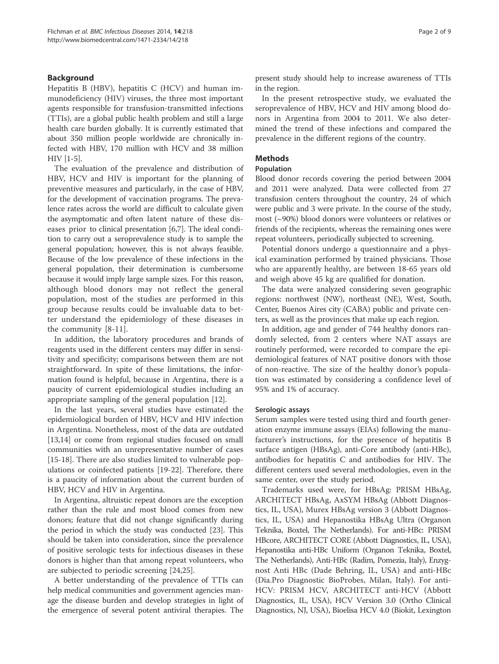# Background

Hepatitis B (HBV), hepatitis C (HCV) and human immunodeficiency (HIV) viruses, the three most important agents responsible for transfusion-transmitted infections (TTIs), are a global public health problem and still a large health care burden globally. It is currently estimated that about 350 million people worldwide are chronically infected with HBV, 170 million with HCV and 38 million HIV [1-5].

The evaluation of the prevalence and distribution of HBV, HCV and HIV is important for the planning of preventive measures and particularly, in the case of HBV, for the development of vaccination programs. The prevalence rates across the world are difficult to calculate given the asymptomatic and often latent nature of these diseases prior to clinical presentation [6,7]. The ideal condition to carry out a seroprevalence study is to sample the general population; however, this is not always feasible. Because of the low prevalence of these infections in the general population, their determination is cumbersome because it would imply large sample sizes. For this reason, although blood donors may not reflect the general population, most of the studies are performed in this group because results could be invaluable data to better understand the epidemiology of these diseases in the community [8-11].

In addition, the laboratory procedures and brands of reagents used in the different centers may differ in sensitivity and specificity; comparisons between them are not straightforward. In spite of these limitations, the information found is helpful, because in Argentina, there is a paucity of current epidemiological studies including an appropriate sampling of the general population [12].

In the last years, several studies have estimated the epidemiological burden of HBV, HCV and HIV infection in Argentina. Nonetheless, most of the data are outdated [13,14] or come from regional studies focused on small communities with an unrepresentative number of cases [15-18]. There are also studies limited to vulnerable populations or coinfected patients [19-22]. Therefore, there is a paucity of information about the current burden of HBV, HCV and HIV in Argentina.

In Argentina, altruistic repeat donors are the exception rather than the rule and most blood comes from new donors; feature that did not change significantly during the period in which the study was conducted [23]. This should be taken into consideration, since the prevalence of positive serologic tests for infectious diseases in these donors is higher than that among repeat volunteers, who are subjected to periodic screening [24,25].

A better understanding of the prevalence of TTIs can help medical communities and government agencies manage the disease burden and develop strategies in light of the emergence of several potent antiviral therapies. The

present study should help to increase awareness of TTIs in the region.

In the present retrospective study, we evaluated the seroprevalence of HBV, HCV and HIV among blood donors in Argentina from 2004 to 2011. We also determined the trend of these infections and compared the prevalence in the different regions of the country.

# **Methods**

# Population

Blood donor records covering the period between 2004 and 2011 were analyzed. Data were collected from 27 transfusion centers throughout the country, 24 of which were public and 3 were private. In the course of the study, most (~90%) blood donors were volunteers or relatives or friends of the recipients, whereas the remaining ones were repeat volunteers, periodically subjected to screening.

Potential donors undergo a questionnaire and a physical examination performed by trained physicians. Those who are apparently healthy, are between 18-65 years old and weigh above 45 kg are qualified for donation.

The data were analyzed considering seven geographic regions: northwest (NW), northeast (NE), West, South, Center, Buenos Aires city (CABA) public and private centers, as well as the provinces that make up each region.

In addition, age and gender of 744 healthy donors randomly selected, from 2 centers where NAT assays are routinely performed, were recorded to compare the epidemiological features of NAT positive donors with those of non-reactive. The size of the healthy donor's population was estimated by considering a confidence level of 95% and 1% of accuracy.

# Serologic assays

Serum samples were tested using third and fourth generation enzyme immune assays (EIAs) following the manufacturer's instructions, for the presence of hepatitis B surface antigen (HBsAg), anti-Core antibody (anti-HBc), antibodies for hepatitis C and antibodies for HIV. The different centers used several methodologies, even in the same center, over the study period.

Trademarks used were, for HBsAg: PRISM HBsAg, ARCHITECT HBsAg, AxSYM HBsAg (Abbott Diagnostics, IL, USA), Murex HBsAg version 3 (Abbott Diagnostics, IL, USA) and Hepanostika HBsAg Ultra (Organon Teknika, Boxtel, The Netherlands). For anti-HBc: PRISM HBcore, ARCHITECT CORE (Abbott Diagnostics, IL, USA), Hepanostika anti-HBc Uniform (Organon Teknika, Boxtel, The Netherlands), Anti-HBc (Radim, Pomezia, Italy), Enzygnost Anti HBc (Dade Behring, IL, USA) and anti-HBc (Dia.Pro Diagnostic BioProbes, Milan, Italy). For anti-HCV: PRISM HCV, ARCHITECT anti-HCV (Abbott Diagnostics, IL, USA), HCV Version 3.0 (Ortho Clinical Diagnostics, NJ, USA), Bioelisa HCV 4.0 (Biokit, Lexington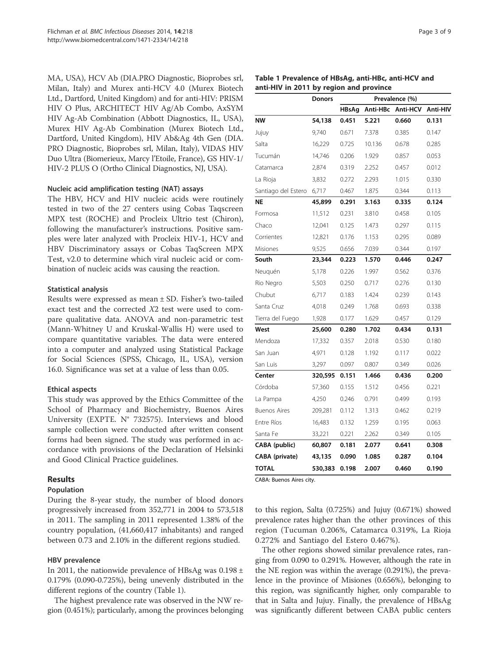MA, USA), HCV Ab (DIA.PRO Diagnostic, Bioprobes srl, Milan, Italy) and Murex anti-HCV 4.0 (Murex Biotech Ltd., Dartford, United Kingdom) and for anti-HIV: PRISM HIV O Plus, ARCHITECT HIV Ag/Ab Combo, AxSYM HIV Ag-Ab Combination (Abbott Diagnostics, IL, USA), Murex HIV Ag-Ab Combination (Murex Biotech Ltd., Dartford, United Kingdom), HIV Ab&Ag 4th Gen (DIA. PRO Diagnostic, Bioprobes srl, Milan, Italy), VIDAS HIV Duo Ultra (Biomerieux, Marcy l'Etoile, France), GS HIV-1/ HIV-2 PLUS O (Ortho Clinical Diagnostics, NJ, USA).

#### Nucleic acid amplification testing (NAT) assays

The HBV, HCV and HIV nucleic acids were routinely tested in two of the 27 centers using Cobas Taqscreen MPX test (ROCHE) and Procleix Ultrio test (Chiron), following the manufacturer's instructions. Positive samples were later analyzed with Procleix HIV-1, HCV and HBV Discriminatory assays or Cobas TaqScreen MPX Test, v2.0 to determine which viral nucleic acid or combination of nucleic acids was causing the reaction.

#### Statistical analysis

Results were expressed as mean ± SD. Fisher's two-tailed exact test and the corrected X2 test were used to compare qualitative data. ANOVA and non-parametric test (Mann-Whitney U and Kruskal-Wallis H) were used to compare quantitative variables. The data were entered into a computer and analyzed using Statistical Package for Social Sciences (SPSS, Chicago, IL, USA), version 16.0. Significance was set at a value of less than 0.05.

#### Ethical aspects

This study was approved by the Ethics Committee of the School of Pharmacy and Biochemistry, Buenos Aires University (EXPTE. N° 732575). Interviews and blood sample collection were conducted after written consent forms had been signed. The study was performed in accordance with provisions of the Declaration of Helsinki and Good Clinical Practice guidelines.

#### Results

#### Population

During the 8-year study, the number of blood donors progressively increased from 352,771 in 2004 to 573,518 in 2011. The sampling in 2011 represented 1.38% of the country population, (41,660,417 inhabitants) and ranged between 0.73 and 2.10% in the different regions studied.

#### HBV prevalence

In 2011, the nationwide prevalence of HBsAg was  $0.198 \pm$ 0.179% (0.090-0.725%), being unevenly distributed in the different regions of the country (Table 1).

The highest prevalence rate was observed in the NW region (0.451%); particularly, among the provinces belonging

| Table 1 Prevalence of HBsAg, anti-HBc, anti-HCV and |  |  |
|-----------------------------------------------------|--|--|

| anti-HIV in 2011 by region and province |         |                |          |          |          |  |  |  |
|-----------------------------------------|---------|----------------|----------|----------|----------|--|--|--|
|                                         | Donors  | Prevalence (%) |          |          |          |  |  |  |
|                                         |         | <b>HBsAg</b>   | Anti-HBc | Anti-HCV | Anti-HIV |  |  |  |
| ΝW                                      | 54,138  | 0.451          | 5.221    | 0.660    | 0.131    |  |  |  |
| Jujuy                                   | 9,740   | 0.671          | 7.378    | 0.385    | 0.147    |  |  |  |
| Salta                                   | 16,229  | 0.725          | 10.136   | 0.678    | 0.285    |  |  |  |
| Tucumán                                 | 14,746  | 0.206          | 1.929    | 0.857    | 0.053    |  |  |  |
| Catamarca                               | 2,874   | 0.319          | 2.252    | 0.457    | 0.012    |  |  |  |
| La Rioja                                | 3,832   | 0.272          | 2.293    | 1.015    | 0.330    |  |  |  |
| Santiago del Estero                     | 6,717   | 0.467          | 1.875    | 0.344    | 0.113    |  |  |  |
| <b>NE</b>                               | 45,899  | 0.291          | 3.163    | 0.335    | 0.124    |  |  |  |
| Formosa                                 | 11,512  | 0.231          | 3.810    | 0.458    | 0.105    |  |  |  |
| Chaco                                   | 12,041  | 0.125          | 1.473    | 0.297    | 0.115    |  |  |  |
| Corrientes                              | 12,821  | 0.176          | 1.153    | 0.295    | 0.089    |  |  |  |
| Misiones                                | 9,525   | 0.656          | 7.039    | 0.344    | 0.197    |  |  |  |
| South                                   | 23,344  | 0.223          | 1.570    | 0.446    | 0.247    |  |  |  |
| Neuguén                                 | 5,178   | 0.226          | 1.997    | 0.562    | 0.376    |  |  |  |
| Rio Negro                               | 5,503   | 0.250          | 0.717    | 0.276    | 0.130    |  |  |  |
| Chubut                                  | 6,717   | 0.183          | 1.424    | 0.239    | 0.143    |  |  |  |
| Santa Cruz                              | 4,018   | 0.249          | 1.768    | 0.693    | 0.338    |  |  |  |
| Tierra del Fuego                        | 1,928   | 0.177          | 1.629    | 0.457    | 0.129    |  |  |  |
| West                                    | 25,600  | 0.280          | 1.702    | 0.434    | 0.131    |  |  |  |
| Mendoza                                 | 17,332  | 0.357          | 2.018    | 0.530    | 0.180    |  |  |  |
| San Juan                                | 4,971   | 0.128          | 1.192    | 0.117    | 0.022    |  |  |  |
| San Luis                                | 3,297   | 0.097          | 0.807    | 0.349    | 0.026    |  |  |  |
| Center                                  | 320,595 | 0.151          | 1.466    | 0.436    | 0.200    |  |  |  |
| Córdoba                                 | 57,360  | 0.155          | 1.512    | 0.456    | 0.221    |  |  |  |
| La Pampa                                | 4,250   | 0.246          | 0.791    | 0.499    | 0.193    |  |  |  |
| <b>Buenos Aires</b>                     | 209,281 | 0.112          | 1.313    | 0.462    | 0.219    |  |  |  |
| Entre Ríos                              | 16,483  | 0.132          | 1.259    | 0.195    | 0.063    |  |  |  |
| Santa Fe                                | 33,221  | 0.221          | 2.262    | 0.349    | 0.105    |  |  |  |
| CABA (public)                           | 60,807  | 0.181          | 2.077    | 0.641    | 0.308    |  |  |  |
| CABA (private)                          | 43,135  | 0.090          | 1.085    | 0.287    | 0.104    |  |  |  |
| <b>TOTAL</b>                            | 530,383 | 0.198          | 2.007    | 0.460    | 0.190    |  |  |  |

CABA: Buenos Aires city.

to this region, Salta (0.725%) and Jujuy (0.671%) showed prevalence rates higher than the other provinces of this region (Tucuman 0.206%, Catamarca 0.319%, La Rioja 0.272% and Santiago del Estero 0.467%).

The other regions showed similar prevalence rates, ranging from 0.090 to 0.291%. However, although the rate in the NE region was within the average (0.291%), the prevalence in the province of Misiones (0.656%), belonging to this region, was significantly higher, only comparable to that in Salta and Jujuy. Finally, the prevalence of HBsAg was significantly different between CABA public centers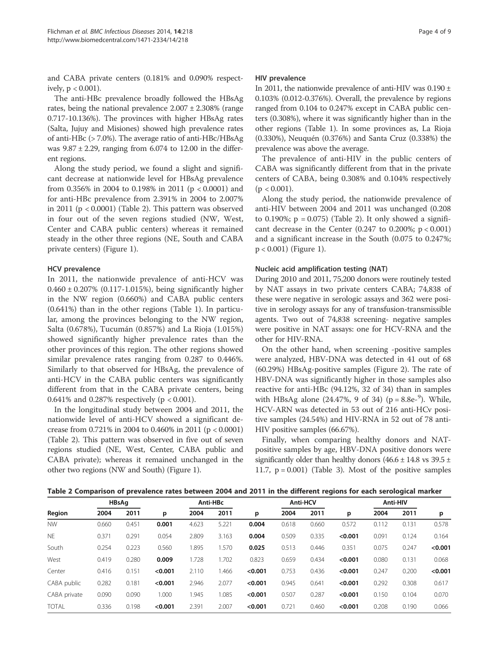and CABA private centers (0.181% and 0.090% respectively,  $p < 0.001$ ).

The anti-HBc prevalence broadly followed the HBsAg rates, being the national prevalence  $2.007 \pm 2.308\%$  (range 0.717-10.136%). The provinces with higher HBsAg rates (Salta, Jujuy and Misiones) showed high prevalence rates of anti-HBc (> 7.0%). The average ratio of anti-HBc/HBsAg was  $9.87 \pm 2.29$ , ranging from 6.074 to 12.00 in the different regions.

Along the study period, we found a slight and significant decrease at nationwide level for HBsAg prevalence from 0.356% in 2004 to 0.198% in 2011 (p < 0.0001) and for anti-HBc prevalence from 2.391% in 2004 to 2.007% in 2011 ( $p < 0.0001$ ) (Table 2). This pattern was observed in four out of the seven regions studied (NW, West, Center and CABA public centers) whereas it remained steady in the other three regions (NE, South and CABA private centers) (Figure 1).

# HCV prevalence

In 2011, the nationwide prevalence of anti-HCV was  $0.460 \pm 0.207\%$  (0.117-1.015%), being significantly higher in the NW region (0.660%) and CABA public centers (0.641%) than in the other regions (Table 1). In particular, among the provinces belonging to the NW region, Salta (0.678%), Tucumán (0.857%) and La Rioja (1.015%) showed significantly higher prevalence rates than the other provinces of this region. The other regions showed similar prevalence rates ranging from 0.287 to 0.446%. Similarly to that observed for HBsAg, the prevalence of anti-HCV in the CABA public centers was significantly different from that in the CABA private centers, being 0.641% and 0.287% respectively ( $p < 0.001$ ).

In the longitudinal study between 2004 and 2011, the nationwide level of anti-HCV showed a significant decrease from 0.721% in 2004 to 0.460% in 2011 (p < 0.0001) (Table 2). This pattern was observed in five out of seven regions studied (NE, West, Center, CABA public and CABA private); whereas it remained unchanged in the other two regions (NW and South) (Figure 1).

# HIV prevalence

In 2011, the nationwide prevalence of anti-HIV was  $0.190 \pm$ 0.103% (0.012-0.376%). Overall, the prevalence by regions ranged from 0.104 to 0.247% except in CABA public centers (0.308%), where it was significantly higher than in the other regions (Table 1). In some provinces as, La Rioja (0.330%), Neuquén (0.376%) and Santa Cruz (0.338%) the prevalence was above the average.

The prevalence of anti-HIV in the public centers of CABA was significantly different from that in the private centers of CABA, being 0.308% and 0.104% respectively  $(p < 0.001)$ .

Along the study period, the nationwide prevalence of anti-HIV between 2004 and 2011 was unchanged (0.208 to 0.190%;  $p = 0.075$ ) (Table 2). It only showed a significant decrease in the Center  $(0.247 \text{ to } 0.200\%; p < 0.001)$ and a significant increase in the South (0.075 to 0.247%; p < 0.001) (Figure 1).

# Nucleic acid amplification testing (NAT)

During 2010 and 2011, 75,200 donors were routinely tested by NAT assays in two private centers CABA; 74,838 of these were negative in serologic assays and 362 were positive in serology assays for any of transfusion-transmissible agents. Two out of 74,838 screening- negative samples were positive in NAT assays: one for HCV-RNA and the other for HIV-RNA.

On the other hand, when screening -positive samples were analyzed, HBV-DNA was detected in 41 out of 68 (60.29%) HBsAg-positive samples (Figure 2). The rate of HBV-DNA was significantly higher in those samples also reactive for anti-HBc (94.12%, 32 of 34) than in samples with HBsAg alone (24.47%, 9 of 34) ( $p = 8.8e^{-9}$ ). While, HCV-ARN was detected in 53 out of 216 anti-HCv positive samples (24.54%) and HIV-RNA in 52 out of 78 anti-HIV positive samples (66.67%).

Finally, when comparing healthy donors and NATpositive samples by age, HBV-DNA positive donors were significantly older than healthy donors  $(46.6 \pm 14.8 \text{ vs } 39.5 \pm 14.8 \text{ vs } 39.5 \pm 14.8 \text{ vs } 39.5 \pm 14.8 \text{ vs } 39.5 \pm 14.8 \text{ vs } 39.5 \pm 14.8 \text{ vs } 39.5 \pm 14.8 \text{ vs } 39.5 \pm 14.8 \text{ vs } 39.5 \pm 14.8 \text{ vs } 39.5 \pm 14.8 \text{ vs } 39.5 \pm 14$ 11.7,  $p = 0.001$ ) (Table 3). Most of the positive samples

|  | Table 2 Comparison of prevalence rates between 2004 and 2011 in the different regions for each serological marker |  |  |  |
|--|-------------------------------------------------------------------------------------------------------------------|--|--|--|
|--|-------------------------------------------------------------------------------------------------------------------|--|--|--|

|              | <b>HBsAg</b> |       |         | Anti-HBc |       |         | <b>Anti-HCV</b> |       |         | Anti-HIV |       |         |
|--------------|--------------|-------|---------|----------|-------|---------|-----------------|-------|---------|----------|-------|---------|
| Region       | 2004         | 2011  | p       | 2004     | 2011  | p       | 2004            | 2011  | p       | 2004     | 2011  | p       |
| <b>NW</b>    | 0.660        | 0.451 | 0.001   | 4.623    | 5.221 | 0.004   | 0.618           | 0.660 | 0.572   | 0.112    | 0.131 | 0.578   |
| <b>NE</b>    | 0.371        | 0.291 | 0.054   | 2.809    | 3.163 | 0.004   | 0.509           | 0.335 | < 0.001 | 0.091    | 0.124 | 0.164   |
| South        | 0.254        | 0.223 | 0.560   | .895     | .570  | 0.025   | 0.513           | 0.446 | 0.351   | 0.075    | 0.247 | < 0.001 |
| West         | 0.419        | 0.280 | 0.009   | .728     | .702  | 0.823   | 0.659           | 0.434 | < 0.001 | 0.080    | 0.131 | 0.068   |
| Center       | 0.416        | 0.151 | < 0.001 | 2.110    | 1.466 | < 0.001 | 0.753           | 0.436 | < 0.001 | 0.247    | 0.200 | < 0.001 |
| CABA public  | 0.282        | 0.181 | < 0.001 | 2.946    | 2.077 | < 0.001 | 0.945           | 0.641 | < 0.001 | 0.292    | 0.308 | 0.617   |
| CABA private | 0.090        | 0.090 | 1.000   | .945     | 1.085 | < 0.001 | 0.507           | 0.287 | < 0.001 | 0.150    | 0.104 | 0.070   |
| <b>TOTAL</b> | 0.336        | 0.198 | < 0.001 | 2.391    | 2.007 | < 0.001 | 0.721           | 0.460 | < 0.001 | 0.208    | 0.190 | 0.066   |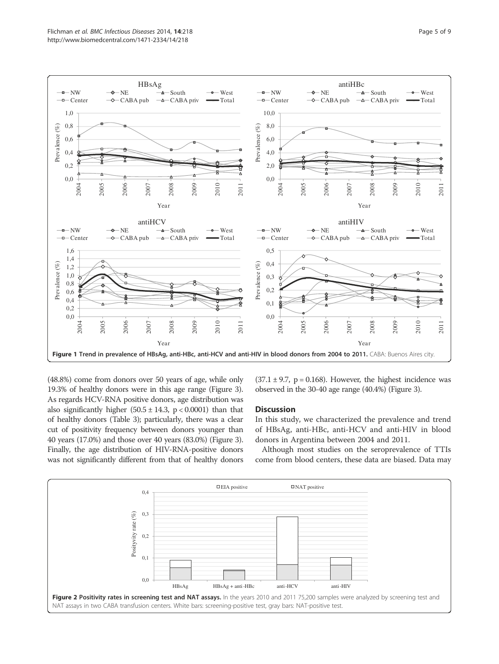

(48.8%) come from donors over 50 years of age, while only 19.3% of healthy donors were in this age range (Figure 3). As regards HCV-RNA positive donors, age distribution was also significantly higher  $(50.5 \pm 14.3, p < 0.0001)$  than that of healthy donors (Table 3); particularly, there was a clear cut of positivity frequency between donors younger than 40 years (17.0%) and those over 40 years (83.0%) (Figure 3). Finally, the age distribution of HIV-RNA-positive donors was not significantly different from that of healthy donors

 $(37.1 \pm 9.7, p = 0.168)$ . However, the highest incidence was observed in the 30-40 age range (40.4%) (Figure 3).

# **Discussion**

In this study, we characterized the prevalence and trend of HBsAg, anti-HBc, anti-HCV and anti-HIV in blood donors in Argentina between 2004 and 2011.

Although most studies on the seroprevalence of TTIs come from blood centers, these data are biased. Data may

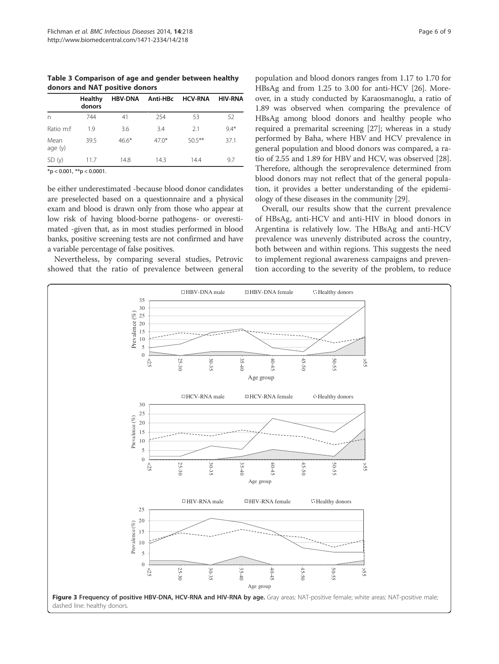Table 3 Comparison of age and gender between healthy donors and NAT positive donors

| donors |         | HBV-DNA<br>Anti-HBc | <b>HCV-RNA</b> | <b>HIV-RNA</b> |
|--------|---------|---------------------|----------------|----------------|
| 744    | 41      | 254                 | 53             | 52             |
| 19     | 3.6     | 3.4                 | 2.1            | $9.4*$         |
| 39.5   | $46.6*$ | $47.0*$             | $50.5***$      | 37.1           |
| 11.7   | 14.8    | 14.3                | 14.4           | 9.7            |
|        |         |                     |                |                |

 $*$ p < 0.001,  $*$  $*$ p < 0.0001.

be either underestimated -because blood donor candidates are preselected based on a questionnaire and a physical exam and blood is drawn only from those who appear at low risk of having blood-borne pathogens- or overestimated -given that, as in most studies performed in blood banks, positive screening tests are not confirmed and have a variable percentage of false positives.

Nevertheless, by comparing several studies, Petrovic showed that the ratio of prevalence between general

population and blood donors ranges from 1.17 to 1.70 for HBsAg and from 1.25 to 3.00 for anti-HCV [26]. Moreover, in a study conducted by Karaosmanoglu, a ratio of 1.89 was observed when comparing the prevalence of HBsAg among blood donors and healthy people who required a premarital screening [27]; whereas in a study performed by Baha, where HBV and HCV prevalence in general population and blood donors was compared, a ratio of 2.55 and 1.89 for HBV and HCV, was observed [28]. Therefore, although the seroprevalence determined from blood donors may not reflect that of the general population, it provides a better understanding of the epidemiology of these diseases in the community [29].

Overall, our results show that the current prevalence of HBsAg, anti-HCV and anti-HIV in blood donors in Argentina is relatively low. The HBsAg and anti-HCV prevalence was unevenly distributed across the country, both between and within regions. This suggests the need to implement regional awareness campaigns and prevention according to the severity of the problem, to reduce

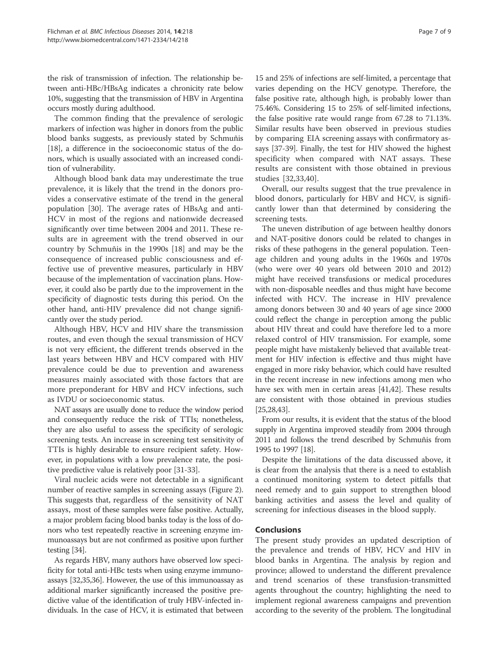the risk of transmission of infection. The relationship between anti-HBc/HBsAg indicates a chronicity rate below 10%, suggesting that the transmission of HBV in Argentina occurs mostly during adulthood.

The common finding that the prevalence of serologic markers of infection was higher in donors from the public blood banks suggests, as previously stated by Schmuñis [18], a difference in the socioeconomic status of the donors, which is usually associated with an increased condition of vulnerability.

Although blood bank data may underestimate the true prevalence, it is likely that the trend in the donors provides a conservative estimate of the trend in the general population [30]. The average rates of HBsAg and anti-HCV in most of the regions and nationwide decreased significantly over time between 2004 and 2011. These results are in agreement with the trend observed in our country by Schmuñis in the 1990s [18] and may be the consequence of increased public consciousness and effective use of preventive measures, particularly in HBV because of the implementation of vaccination plans. However, it could also be partly due to the improvement in the specificity of diagnostic tests during this period. On the other hand, anti-HIV prevalence did not change significantly over the study period.

Although HBV, HCV and HIV share the transmission routes, and even though the sexual transmission of HCV is not very efficient, the different trends observed in the last years between HBV and HCV compared with HIV prevalence could be due to prevention and awareness measures mainly associated with those factors that are more preponderant for HBV and HCV infections, such as IVDU or socioeconomic status.

NAT assays are usually done to reduce the window period and consequently reduce the risk of TTIs; nonetheless, they are also useful to assess the specificity of serologic screening tests. An increase in screening test sensitivity of TTIs is highly desirable to ensure recipient safety. However, in populations with a low prevalence rate, the positive predictive value is relatively poor [31-33].

Viral nucleic acids were not detectable in a significant number of reactive samples in screening assays (Figure 2). This suggests that, regardless of the sensitivity of NAT assays, most of these samples were false positive. Actually, a major problem facing blood banks today is the loss of donors who test repeatedly reactive in screening enzyme immunoassays but are not confirmed as positive upon further testing [34].

As regards HBV, many authors have observed low specificity for total anti-HBc tests when using enzyme immunoassays [32,35,36]. However, the use of this immunoassay as additional marker significantly increased the positive predictive value of the identification of truly HBV-infected individuals. In the case of HCV, it is estimated that between

15 and 25% of infections are self-limited, a percentage that varies depending on the HCV genotype. Therefore, the false positive rate, although high, is probably lower than 75.46%. Considering 15 to 25% of self-limited infections, the false positive rate would range from 67.28 to 71.13%. Similar results have been observed in previous studies by comparing EIA screening assays with confirmatory assays [37-39]. Finally, the test for HIV showed the highest specificity when compared with NAT assays. These results are consistent with those obtained in previous studies [32,33,40].

Overall, our results suggest that the true prevalence in blood donors, particularly for HBV and HCV, is significantly lower than that determined by considering the screening tests.

The uneven distribution of age between healthy donors and NAT-positive donors could be related to changes in risks of these pathogens in the general population. Teenage children and young adults in the 1960s and 1970s (who were over 40 years old between 2010 and 2012) might have received transfusions or medical procedures with non-disposable needles and thus might have become infected with HCV. The increase in HIV prevalence among donors between 30 and 40 years of age since 2000 could reflect the change in perception among the public about HIV threat and could have therefore led to a more relaxed control of HIV transmission. For example, some people might have mistakenly believed that available treatment for HIV infection is effective and thus might have engaged in more risky behavior, which could have resulted in the recent increase in new infections among men who have sex with men in certain areas [41,42]. These results are consistent with those obtained in previous studies [25,28,43].

From our results, it is evident that the status of the blood supply in Argentina improved steadily from 2004 through 2011 and follows the trend described by Schmuñis from 1995 to 1997 [18].

Despite the limitations of the data discussed above, it is clear from the analysis that there is a need to establish a continued monitoring system to detect pitfalls that need remedy and to gain support to strengthen blood banking activities and assess the level and quality of screening for infectious diseases in the blood supply.

# Conclusions

The present study provides an updated description of the prevalence and trends of HBV, HCV and HIV in blood banks in Argentina. The analysis by region and province; allowed to understand the different prevalence and trend scenarios of these transfusion-transmitted agents throughout the country; highlighting the need to implement regional awareness campaigns and prevention according to the severity of the problem. The longitudinal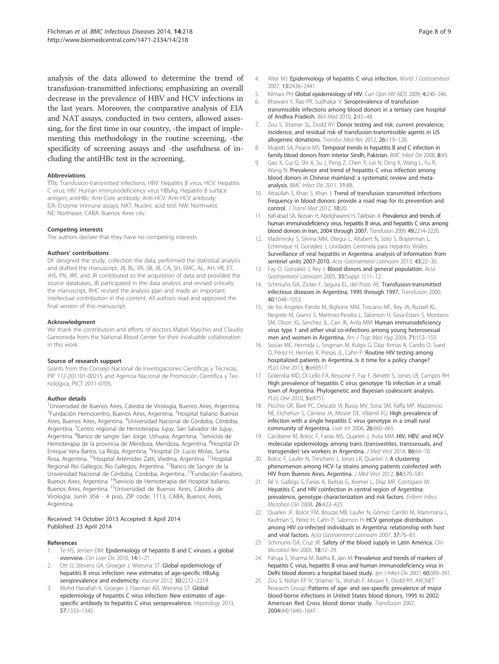analysis of the data allowed to determine the trend of transfusion-transmitted infections; emphasizing an overall decrease in the prevalence of HBV and HCV infections in the last years. Moreover, the comparative analysis of EIA and NAT assays, conducted in two centers, allowed assessing, for the first time in our country, -the impact of implementing this methodology in the routine screening, -the specificity of screening assays and -the usefulness of including the antiHBc test in the screening.

#### Abbreviations

TTIs: Transfusion-transmitted infections; HBV: Hepatitis B virus; HCV: Hepatitis C virus; HIV: Human immunodeficiency virus HBsAg, Hepatitis B surface antigen; antiHBc: Anti-Core antibody; Anti-HCV: Anti-HCV antibody; EIA: Enzyme immune assays; NAT: Nucleic acid test; NW: Northwest; NE: Northeast; CABA: Buenos Aires city.

#### Competing interests

The authors declare that they have no competing interests.

#### Authors' contributions

DF designed the study, collection the data, performed the statistical analysis and drafted the manuscript; JB, BL, VR, SB, JB, CA, SH, EMC, AL, AH, VR, ET, JHS, FN, JRF, and JR contributed to the acquisition of data and provided the source databases, JB participated in the data analysis and revised critically the manuscript, RHC revised the analysis plan and made an important intellectual contribution in the content. All authors read and approved the final version of this manuscript.

#### Acknowledgment

We thank the contribution and efforts of doctors Mabel Maschio and Claudio Gamoneda from the National Blood Center for their invaluable collaboration in this work.

#### Source of research support

Grants from the Consejo Nacional de Investigaciones Científicas y Técnicas, PIP 112-201101-00215 and Agencia Nacional de Promoción Científica y Tecnológica, PICT 2011-0705.

#### Author details

<sup>1</sup>Universidad de Buenos Aires, Cátedra de Virología, Buenos Aires, Argentina. <sup>2</sup> Fundación Hemocentro, Buenos Aires, Argentina. <sup>3</sup> Hospital Italiano Buenos Aires, Buenos Aires, Argentina. <sup>4</sup>Universidad Nacional de Córdoba, Córdoba, Argentina. <sup>5</sup>Centro regional de Hemoterapia Jujuy, San Salvador de Jujuy, Argentina. <sup>6</sup>Banco de sangre San Jorge, Ushuaia, Argentina. <sup>7</sup>Servicios de Hemoterapia de la provincia de Mendoza, Mendoza, Argentina. <sup>8</sup>Hospital Dr Enrique Vera Barros, La Rioja, Argentina. <sup>9</sup>Hospital Dr. Lucio Molas, Santa Rosa, Argentina. 10Hospital Artémides Zatti, Viedma, Argentina. 11Hospital Regional Rio Gallegos, Rio Gallegos, Argentina. <sup>12</sup>Banco de Sangre de la Universidad Nacional de Córdoba, Córdoba, Argentina. <sup>13</sup>Fundación Favaloro, Buenos Aires, Argentina. <sup>14</sup>Servicio de Hemoterapia del Hospital Italiano, Buenos Aires, Argentina. <sup>15</sup>Universidad de Buenos Aires, Cátedra de Virología, Junín 956 - 4 piso, ZIP code: 1113, CABA, Buenos Aires, Argentina.

#### Received: 14 October 2013 Accepted: 8 April 2014 Published: 23 April 2014

#### References

- 1. Te HS, Jensen DM: Epidemiology of hepatitis B and C viruses: a global overview. Clin Liver Dis 2010, 14:1–21.
- Ott JJ, Stevens GA, Groeger J, Wiersma ST: Global epidemiology of hepatitis B virus infection: new estimates of age-specific HBsAg seroprevalence and endemicity. Vaccine 2012, 30:2212–2219.
- Mohd Hanafiah K, Groeger J, Flaxman AD, Wiersma ST: Global epidemiology of hepatitis C virus infection: New estimates of agespecific antibody to hepatitis C virus seroprevalence. Hepatology 2013, 57:1333–1342.
- 4. Alter MJ: Epidemiology of hepatitis C virus infection. World J Gastroenterol 2007, 13:2436–2441.
- 5. Kilmarx PH: Global epidemiology of HIV. Curr Opin HIV AIDS 2009, 4:240–246.
- 6. Bhawani Y, Rao PR, Sudhakar V: Seroprevalence of transfusion transmissible infections among blood donors in a tertiary care hospital of Andhra Pradesh. Biol Med 2010, 2:45–48.
- 7. Zou S, Stramer SL, Dodd RY: Donor testing and risk: current prevalence, incidence, and residual risk of transfusion-transmissible agents in US allogeneic donations. Transfus Med Rev 2012, 26:119–128.
- 8. Mujeeb SA, Pearce MS: Temporal trends in hepatitis B and C infection in family blood donors from interior Sindh, Pakistan. BMC Infect Dis 2008, 8:43.
- 9. Gao X, Cui Q, Shi X, Su J, Peng Z, Chen X, Lei N, Ding K, Wang L, Yu R, Wang N: Prevalence and trend of hepatitis C virus infection among blood donors in Chinese mainland: a systematic review and metaanalysis. BMC Infect Dis 2011, 11:88.
- 10. Attaullah S, Khan S, Khan J: Trend of transfusion transmitted infections frequency in blood donors: provide a road map for its prevention and control. J Transl Med 2012, 10:20.
- 11. Kafi-abad SA, Rezvan H, Abolghasemi H, Talebian A: Prevalence and trends of human immunodeficiency virus, hepatitis B virus, and hepatitis C virus among blood donors in Iran, 2004 through 2007. Transfusion 2009, 49:2214–2220.
- 12. Vladimirsky S, Silvina MM, Otegui L, Altabert N, Soto S, Brajterman L, Echenique H, González J, Unidades Centinela para Hepatitis Virales: Surveillance of viral hepatitis in Argentina: analysis of information from sentinel units 2007-2010. Acta Gastroenterol Latinoam 2013, 43:22–30.
- 13. Fay O, Gonzalez J, Rey J: Blood donors and general population. Acta Gastroenterol Latinoam 2005, 35(Suppl 1):11–12.
- 14. Schmuñis GA, Zicker F, Segura EL, del Pozo AE: Transfusion-transmitted infectious diseases in Argentina, 1995 through 1997. Transfusion 2000, 40:1048–1053.
- 15. de los Angeles Pando M, Biglione MM, Toscano MF, Rey JA, Russell KL, Negrete M, Gianni S, Martinez-Peralta L, Salomon H, Sosa-Estani S, Montano SM, Olson JG, Sanchez JL, Carr JK, Avila MM: Human immunodeficiency virus type 1 and other viral co-infections among young heterosexual men and women in Argentina. Am J Trop Med Hyg 2004, 71:153–159.
- 16. Socías ME, Hermida L, Singman M, Kulgis G, Díaz Armas A, Cando O, Sued O, Pérez H, Hermes R, Presas JL, Cahn P: Routine HIV testing among hospitalized patients in Argentina. Is it time for a policy change? PLoS One 2013, 8:e69517.
- 17. Golemba MD, Di Lello FA, Bessone F, Fay F, Benetti S, Jones LR, Campos RH: High prevalence of hepatitis C virus genotype 1b infection in a small town of Argentina. Phylogenetic and Bayesian coalescent analysis. PLoS One 2010, 5:e8751.
- 18. Picchio GR, Baré PC, Descalzi VI, Bussy MV, Soria SM, Raffa MP, Mazzencio NE, Etchehun S, Cámera JA, Mosier DE, Villamil FG: High prevalence of infection with a single hepatitis C virus genotype in a small rural community of Argentina. Liver Int 2006, 26:660-665.
- 19. Carobene M, Bolcic F, Farías MS, Quarleri J, Avila MM: HIV, HBV, and HCV molecular epidemiology among trans (transvestites, transsexuals, and transgender) sex workers in Argentina. J Med Virol 2014, 86:64-70.
- 20. Bolcic F, Laufer N, Trinchero J, Jones LR, Quarleri J: A clustering phenomenon among HCV-1a strains among patients coinfected with HIV from Buenos Aires, Argentina. J Med Virol 2012, 84:570–581.
- 21. Ré V, Gallego S, Farías A, Barbás G, Kremer L, Díaz MP, Contigiani M: Hepatitis C and HIV coinfection in central region of Argentina: prevalence, genotype characterization and risk factors. Enferm Infecc Microbiol Clin 2008, 26:423-425.
- 22. Quarleri JF, Bolcic FM, Bouzas MB, Laufer N, Gómez Carrillo M, Mammana L, Kaufman S, Pérez H, Cahn P, Salomon H: HCV genotype distribution among HIV co-infected individuals in Argentina: relationship with host and viral factors. Acta Gastroenterol Latinoam 2007, 37:76–83.
- 23. Schmunis GA, Cruz JR: Safety of the blood supply in Latin America. Clin Microbiol Rev 2005, 18:12–29.
- 24. Pahuja S, Sharma M, Baitha B, Jain M: Prevalence and trends of markers of hepatitis C virus, hepatitis B virus and human immunodeficiency virus in Delhi blood donors: a hospital based study. Jpn J Infect Dis 2007, 60:389-391.
- 25. Zou S, Notari EP IV, Stramer SL, Wahab F, Musavi F, Dodd RY, ARCNET Research Group: Patterns of age- and sex-specific prevalence of major blood-borne infections in United States blood donors, 1995 to 2002: American Red Cross blood donor study. Transfusion 2002, 2004(44):1640–1647.